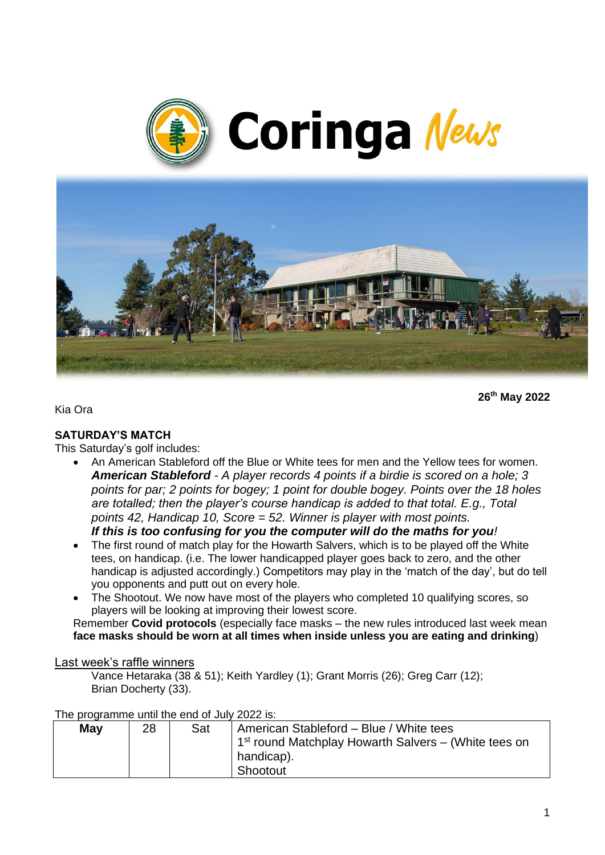



**26th May 2022**

Kia Ora

#### **SATURDAY'S MATCH**

This Saturday's golf includes:

• An American Stableford off the Blue or White tees for men and the Yellow tees for women. *American Stableford - A player records 4 points if a birdie is scored on a hole; 3 points for par; 2 points for bogey; 1 point for double bogey. Points over the 18 holes are totalled; then the player's course handicap is added to that total. E.g., Total points 42, Handicap 10, Score = 52. Winner is player with most points.*

*If this is too confusing for you the computer will do the maths for you!*

- The first round of match play for the Howarth Salvers, which is to be played off the White tees, on handicap. (i.e. The lower handicapped player goes back to zero, and the other handicap is adjusted accordingly.) Competitors may play in the 'match of the day', but do tell you opponents and putt out on every hole.
- The Shootout. We now have most of the players who completed 10 qualifying scores, so players will be looking at improving their lowest score.

Remember **Covid protocols** (especially face masks – the new rules introduced last week mean **face masks should be worn at all times when inside unless you are eating and drinking**)

#### Last week's raffle winners

Vance Hetaraka (38 & 51); Keith Yardley (1); Grant Morris (26); Greg Carr (12); Brian Docherty (33).

| The programme until the end of July 2022 is. |    |     |                                                        |
|----------------------------------------------|----|-----|--------------------------------------------------------|
| May                                          | 28 | Sat | American Stableford - Blue / White tees                |
|                                              |    |     | $1st$ round Matchplay Howarth Salvers – (White tees on |
|                                              |    |     | handicap).                                             |
|                                              |    |     | Shootout                                               |

The programme until the end of July 2022 is: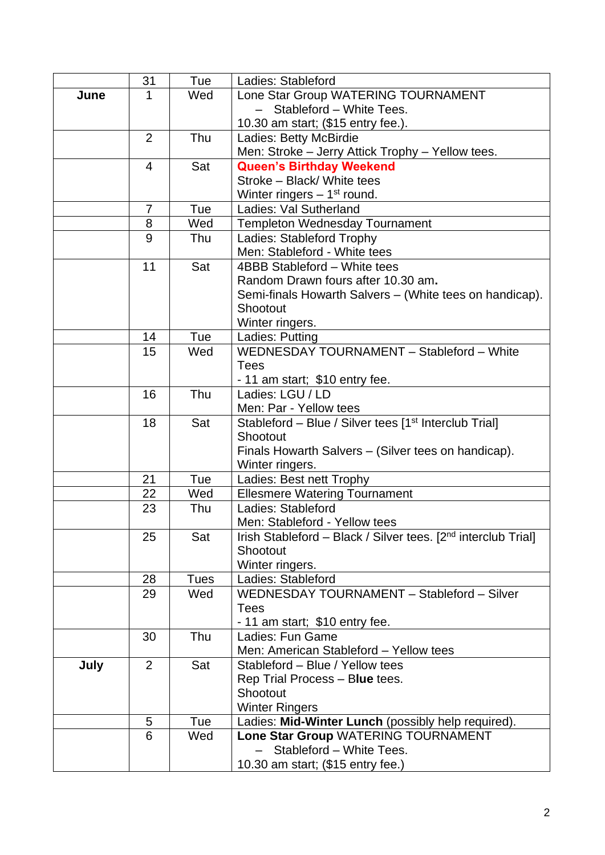|      | 31             | Tue         | Ladies: Stableford                                                        |  |
|------|----------------|-------------|---------------------------------------------------------------------------|--|
| June | 1              | Wed         | Lone Star Group WATERING TOURNAMENT                                       |  |
|      |                |             | Stableford - White Tees.                                                  |  |
|      |                |             | 10.30 am start; (\$15 entry fee.).                                        |  |
|      | 2              | Thu         | Ladies: Betty McBirdie                                                    |  |
|      |                |             | Men: Stroke - Jerry Attick Trophy - Yellow tees.                          |  |
|      | 4              | Sat         | <b>Queen's Birthday Weekend</b>                                           |  |
|      |                |             | Stroke - Black/ White tees                                                |  |
|      |                |             | Winter ringers $-1st$ round.                                              |  |
|      | 7              | Tue         | Ladies: Val Sutherland                                                    |  |
|      | 8              | Wed         | Templeton Wednesday Tournament                                            |  |
|      | 9              | Thu         | Ladies: Stableford Trophy                                                 |  |
|      |                |             | Men: Stableford - White tees                                              |  |
|      | 11             | Sat         | 4BBB Stableford - White tees                                              |  |
|      |                |             | Random Drawn fours after 10.30 am.                                        |  |
|      |                |             | Semi-finals Howarth Salvers – (White tees on handicap).                   |  |
|      |                |             | Shootout                                                                  |  |
|      |                |             | Winter ringers.                                                           |  |
|      | 14             | Tue         | Ladies: Putting<br>WEDNESDAY TOURNAMENT - Stableford - White              |  |
|      | 15             | Wed         | <b>Tees</b>                                                               |  |
|      |                |             |                                                                           |  |
|      | 16             | Thu         | - 11 am start; \$10 entry fee.<br>Ladies: LGU / LD                        |  |
|      |                |             | Men: Par - Yellow tees                                                    |  |
|      | 18             | Sat         | Stableford - Blue / Silver tees [1 <sup>st</sup> Interclub Trial]         |  |
|      |                |             | Shootout                                                                  |  |
|      |                |             | Finals Howarth Salvers - (Silver tees on handicap).                       |  |
|      |                |             | Winter ringers.                                                           |  |
|      | 21             | Tue         | Ladies: Best nett Trophy                                                  |  |
|      | 22             | Wed         | <b>Ellesmere Watering Tournament</b>                                      |  |
|      | 23             | Thu         | Ladies: Stableford                                                        |  |
|      |                |             | Men: Stableford - Yellow tees                                             |  |
|      | 25             | Sat         | Irish Stableford - Black / Silver tees. [2 <sup>nd</sup> interclub Trial] |  |
|      |                |             | Shootout                                                                  |  |
|      |                |             | Winter ringers.                                                           |  |
|      | 28             | <b>Tues</b> | Ladies: Stableford                                                        |  |
|      | 29             | Wed         | WEDNESDAY TOURNAMENT - Stableford - Silver                                |  |
|      |                |             | <b>Tees</b>                                                               |  |
|      |                |             | - 11 am start; \$10 entry fee.                                            |  |
|      | 30             | Thu         | Ladies: Fun Game                                                          |  |
|      |                |             | Men: American Stableford - Yellow tees                                    |  |
| July | $\overline{2}$ | Sat         | Stableford - Blue / Yellow tees                                           |  |
|      |                |             | Rep Trial Process - Blue tees.                                            |  |
|      |                |             | Shootout                                                                  |  |
|      |                |             | <b>Winter Ringers</b>                                                     |  |
|      | 5<br>6         | Tue<br>Wed  | Ladies: Mid-Winter Lunch (possibly help required).                        |  |
|      |                |             | Lone Star Group WATERING TOURNAMENT<br>Stableford - White Tees.           |  |
|      |                |             |                                                                           |  |
|      |                |             | 10.30 am start; (\$15 entry fee.)                                         |  |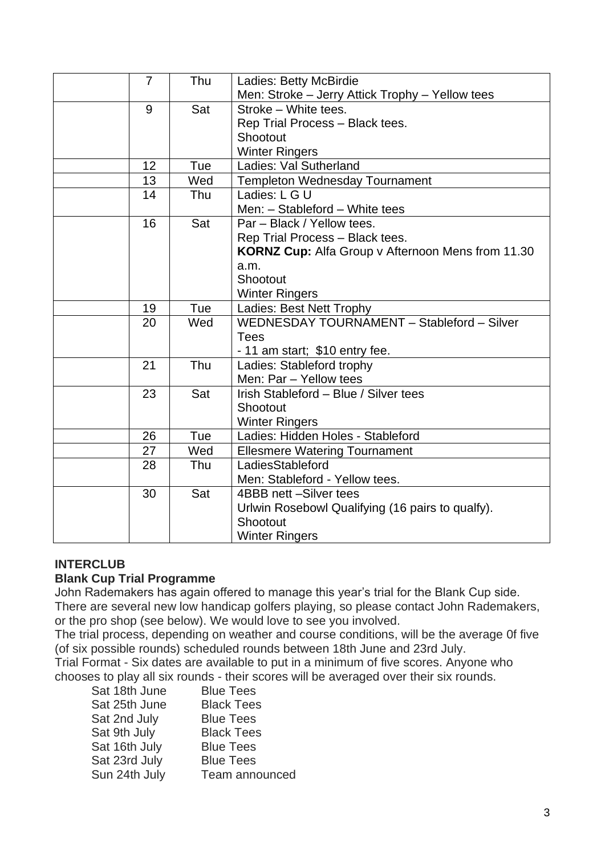| $\overline{7}$ | Thu | Ladies: Betty McBirdie                                   |  |
|----------------|-----|----------------------------------------------------------|--|
|                |     | Men: Stroke - Jerry Attick Trophy - Yellow tees          |  |
| 9              | Sat | Stroke - White tees.                                     |  |
|                |     | Rep Trial Process - Black tees.                          |  |
|                |     | Shootout                                                 |  |
|                |     | <b>Winter Ringers</b>                                    |  |
| 12             | Tue | Ladies: Val Sutherland                                   |  |
| 13             | Wed | <b>Templeton Wednesday Tournament</b>                    |  |
| 14             | Thu | Ladies: L G U                                            |  |
|                |     | Men: - Stableford - White tees                           |  |
| 16             | Sat | Par - Black / Yellow tees.                               |  |
|                |     | Rep Trial Process - Black tees.                          |  |
|                |     | <b>KORNZ Cup:</b> Alfa Group v Afternoon Mens from 11.30 |  |
|                |     | a.m.                                                     |  |
|                |     | Shootout                                                 |  |
|                |     | <b>Winter Ringers</b>                                    |  |
| 19             | Tue | Ladies: Best Nett Trophy                                 |  |
| 20             | Wed | WEDNESDAY TOURNAMENT - Stableford - Silver               |  |
|                |     | <b>Tees</b>                                              |  |
|                |     | - 11 am start; \$10 entry fee.                           |  |
| 21             | Thu | Ladies: Stableford trophy                                |  |
|                |     | Men: Par - Yellow tees                                   |  |
| 23             | Sat | Irish Stableford - Blue / Silver tees                    |  |
|                |     | Shootout                                                 |  |
|                |     | <b>Winter Ringers</b>                                    |  |
| 26             | Tue | Ladies: Hidden Holes - Stableford                        |  |
| 27             | Wed | <b>Ellesmere Watering Tournament</b>                     |  |
| 28             | Thu | LadiesStableford                                         |  |
|                |     | Men: Stableford - Yellow tees.                           |  |
| 30             | Sat | 4BBB nett -Silver tees                                   |  |
|                |     | Urlwin Rosebowl Qualifying (16 pairs to qualfy).         |  |
|                |     | Shootout                                                 |  |
|                |     | <b>Winter Ringers</b>                                    |  |

#### **INTERCLUB**

## **Blank Cup Trial Programme**

John Rademakers has again offered to manage this year's trial for the Blank Cup side. There are several new low handicap golfers playing, so please contact John Rademakers, or the pro shop (see below). We would love to see you involved.

The trial process, depending on weather and course conditions, will be the average 0f five (of six possible rounds) scheduled rounds between 18th June and 23rd July.

Trial Format - Six dates are available to put in a minimum of five scores. Anyone who chooses to play all six rounds - their scores will be averaged over their six rounds.

| Sat 18th June | <b>Blue Tees</b>  |
|---------------|-------------------|
| Sat 25th June | <b>Black Tees</b> |
| Sat 2nd July  | <b>Blue Tees</b>  |
| Sat 9th July  | <b>Black Tees</b> |
| Sat 16th July | <b>Blue Tees</b>  |
| Sat 23rd July | <b>Blue Tees</b>  |
| Sun 24th July | Team announced    |
|               |                   |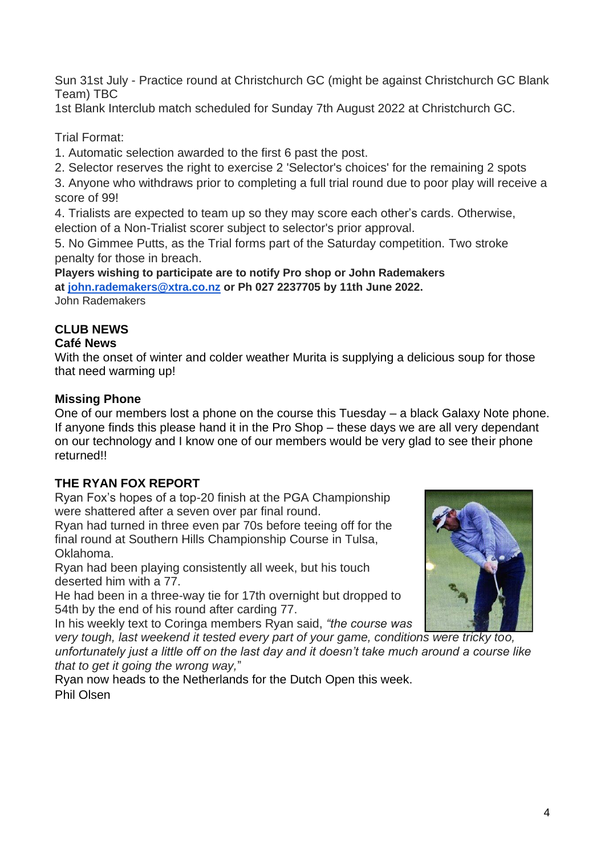Sun 31st July - Practice round at Christchurch GC (might be against Christchurch GC Blank Team) TBC

1st Blank Interclub match scheduled for Sunday 7th August 2022 at Christchurch GC.

Trial Format:

- 1. Automatic selection awarded to the first 6 past the post.
- 2. Selector reserves the right to exercise 2 'Selector's choices' for the remaining 2 spots

3. Anyone who withdraws prior to completing a full trial round due to poor play will receive a score of 99!

4. Trialists are expected to team up so they may score each other's cards. Otherwise, election of a Non-Trialist scorer subject to selector's prior approval.

5. No Gimmee Putts, as the Trial forms part of the Saturday competition. Two stroke penalty for those in breach.

**Players wishing to participate are to notify Pro shop or John Rademakers at [john.rademakers@xtra.co.nz](mailto:john.rademakers@xtra.co.nz) or Ph 027 2237705 by 11th June 2022.** John Rademakers

# **CLUB NEWS**

# **Café News**

With the onset of winter and colder weather Murita is supplying a delicious soup for those that need warming up!

# **Missing Phone**

One of our members lost a phone on the course this Tuesday – a black Galaxy Note phone. If anyone finds this please hand it in the Pro Shop – these days we are all very dependant on our technology and I know one of our members would be very glad to see their phone returned!!

# **THE RYAN FOX REPORT**

Ryan Fox's hopes of a top-20 finish at the PGA Championship were shattered after a seven over par final round.

Ryan had turned in three even par 70s before teeing off for the final round at Southern Hills Championship Course in Tulsa, Oklahoma.

Ryan had been playing consistently all week, but his touch deserted him with a 77.

He had been in a three-way tie for 17th overnight but dropped to 54th by the end of his round after carding 77.

In his weekly text to Coringa members Ryan said, *"the course was* 

*very tough, last weekend it tested every part of your game, conditions were tricky too, unfortunately just a little off on the last day and it doesn't take much around a course like that to get it going the wrong way,*"

Ryan now heads to the Netherlands for the Dutch Open this week. Phil Olsen

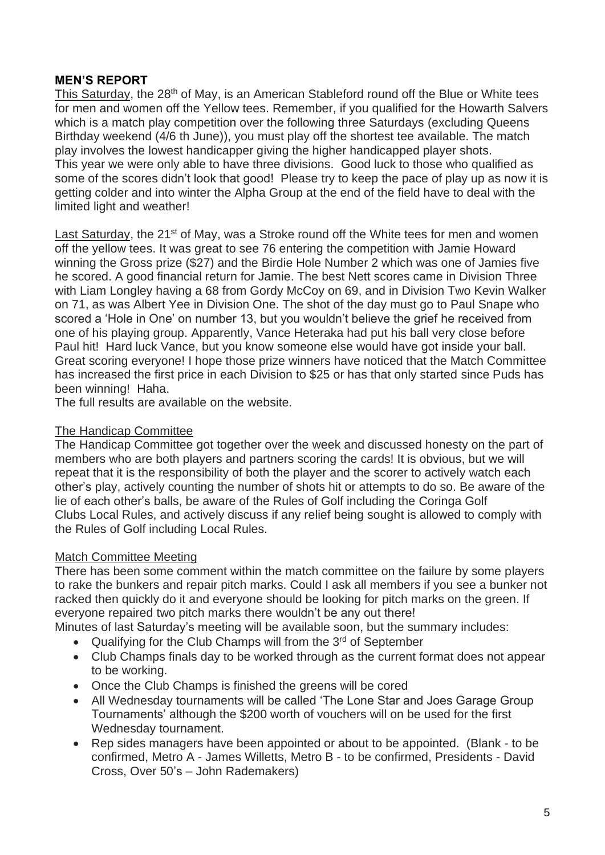## **MEN'S REPORT**

This Saturday, the 28<sup>th</sup> of May, is an American Stableford round off the Blue or White tees for men and women off the Yellow tees. Remember, if you qualified for the Howarth Salvers which is a match play competition over the following three Saturdays (excluding Queens Birthday weekend (4/6 th June)), you must play off the shortest tee available. The match play involves the lowest handicapper giving the higher handicapped player shots. This year we were only able to have three divisions. Good luck to those who qualified as some of the scores didn't look that good! Please try to keep the pace of play up as now it is getting colder and into winter the Alpha Group at the end of the field have to deal with the limited light and weather!

Last Saturday, the 21<sup>st</sup> of May, was a Stroke round off the White tees for men and women off the yellow tees. It was great to see 76 entering the competition with Jamie Howard winning the Gross prize (\$27) and the Birdie Hole Number 2 which was one of Jamies five he scored. A good financial return for Jamie. The best Nett scores came in Division Three with Liam Longley having a 68 from Gordy McCoy on 69, and in Division Two Kevin Walker on 71, as was Albert Yee in Division One. The shot of the day must go to Paul Snape who scored a 'Hole in One' on number 13, but you wouldn't believe the grief he received from one of his playing group. Apparently, Vance Heteraka had put his ball very close before Paul hit! Hard luck Vance, but you know someone else would have got inside your ball. Great scoring everyone! I hope those prize winners have noticed that the Match Committee has increased the first price in each Division to \$25 or has that only started since Puds has been winning! Haha.

The full results are available on the website.

#### The Handicap Committee

The Handicap Committee got together over the week and discussed honesty on the part of members who are both players and partners scoring the cards! It is obvious, but we will repeat that it is the responsibility of both the player and the scorer to actively watch each other's play, actively counting the number of shots hit or attempts to do so. Be aware of the lie of each other's balls, be aware of the Rules of Golf including the Coringa Golf Clubs Local Rules, and actively discuss if any relief being sought is allowed to comply with the Rules of Golf including Local Rules.

#### Match Committee Meeting

There has been some comment within the match committee on the failure by some players to rake the bunkers and repair pitch marks. Could I ask all members if you see a bunker not racked then quickly do it and everyone should be looking for pitch marks on the green. If everyone repaired two pitch marks there wouldn't be any out there!

Minutes of last Saturday's meeting will be available soon, but the summary includes:

- Qualifying for the Club Champs will from the  $3<sup>rd</sup>$  of September
- Club Champs finals day to be worked through as the current format does not appear to be working.
- Once the Club Champs is finished the greens will be cored
- All Wednesday tournaments will be called 'The Lone Star and Joes Garage Group Tournaments' although the \$200 worth of vouchers will on be used for the first Wednesday tournament.
- Rep sides managers have been appointed or about to be appointed. (Blank to be confirmed, Metro A - James Willetts, Metro B - to be confirmed, Presidents - David Cross, Over 50's – John Rademakers)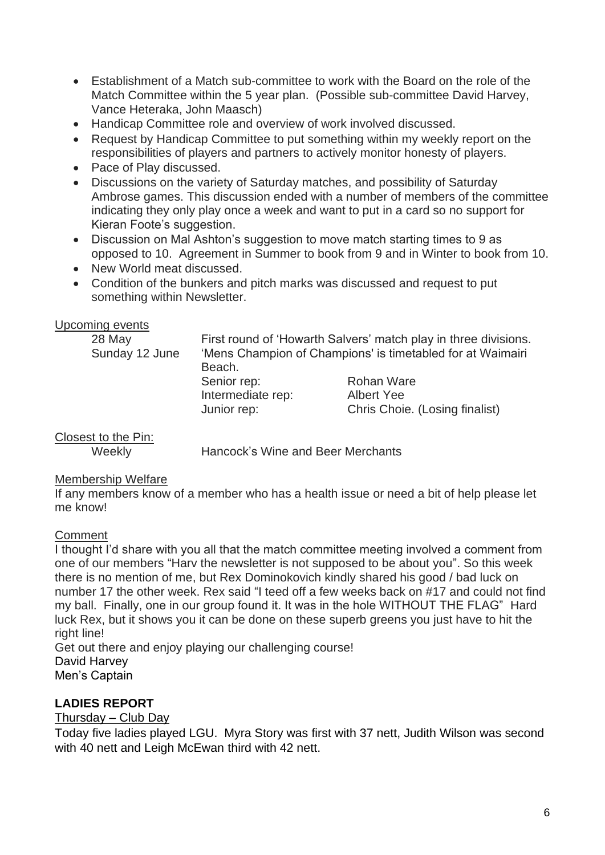- Establishment of a Match sub-committee to work with the Board on the role of the Match Committee within the 5 year plan. (Possible sub-committee David Harvey, Vance Heteraka, John Maasch)
- Handicap Committee role and overview of work involved discussed.
- Request by Handicap Committee to put something within my weekly report on the responsibilities of players and partners to actively monitor honesty of players.
- Pace of Play discussed.
- Discussions on the variety of Saturday matches, and possibility of Saturday Ambrose games. This discussion ended with a number of members of the committee indicating they only play once a week and want to put in a card so no support for Kieran Foote's suggestion.
- Discussion on Mal Ashton's suggestion to move match starting times to 9 as opposed to 10. Agreement in Summer to book from 9 and in Winter to book from 10.
- New World meat discussed.
- Condition of the bunkers and pitch marks was discussed and request to put something within Newsletter.

#### Upcoming events

| 28 May         |                                                            | First round of 'Howarth Salvers' match play in three divisions. |  |  |
|----------------|------------------------------------------------------------|-----------------------------------------------------------------|--|--|
| Sunday 12 June | 'Mens Champion of Champions' is timetabled for at Waimairi |                                                                 |  |  |
|                | Beach.                                                     |                                                                 |  |  |
|                | Senior rep:                                                | <b>Rohan Ware</b>                                               |  |  |
|                | Intermediate rep:                                          | <b>Albert Yee</b>                                               |  |  |
|                | Junior rep:                                                | Chris Choie. (Losing finalist)                                  |  |  |

## Closest to the Pin:

Weekly Hancock's Wine and Beer Merchants

#### Membership Welfare

If any members know of a member who has a health issue or need a bit of help please let me know!

#### **Comment**

I thought I'd share with you all that the match committee meeting involved a comment from one of our members "Harv the newsletter is not supposed to be about you". So this week there is no mention of me, but Rex Dominokovich kindly shared his good / bad luck on number 17 the other week. Rex said "I teed off a few weeks back on #17 and could not find my ball. Finally, one in our group found it. It was in the hole WITHOUT THE FLAG" Hard luck Rex, but it shows you it can be done on these superb greens you just have to hit the right line!

Get out there and enjoy playing our challenging course! David Harvey Men's Captain

#### **LADIES REPORT**

#### Thursday – Club Day

Today five ladies played LGU. Myra Story was first with 37 nett, Judith Wilson was second with 40 nett and Leigh McEwan third with 42 nett.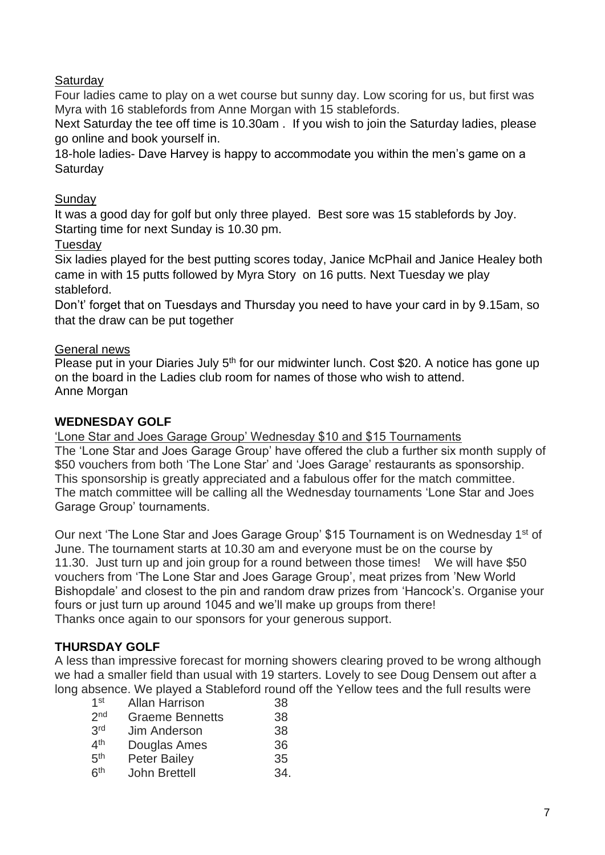# **Saturday**

Four ladies came to play on a wet course but sunny day. Low scoring for us, but first was Myra with 16 stablefords from Anne Morgan with 15 stablefords.

Next Saturday the tee off time is 10.30am . If you wish to join the Saturday ladies, please go online and book yourself in.

18-hole ladies- Dave Harvey is happy to accommodate you within the men's game on a **Saturday** 

## Sunday

It was a good day for golf but only three played. Best sore was 15 stablefords by Joy. Starting time for next Sunday is 10.30 pm.

## Tuesday

Six ladies played for the best putting scores today, Janice McPhail and Janice Healey both came in with 15 putts followed by Myra Story on 16 putts. Next Tuesday we play stableford.

Don't' forget that on Tuesdays and Thursday you need to have your card in by 9.15am, so that the draw can be put together

## General news

Please put in your Diaries July 5<sup>th</sup> for our midwinter lunch. Cost \$20. A notice has gone up on the board in the Ladies club room for names of those who wish to attend. Anne Morgan

## **WEDNESDAY GOLF**

'Lone Star and Joes Garage Group' Wednesday \$10 and \$15 Tournaments

The 'Lone Star and Joes Garage Group' have offered the club a further six month supply of \$50 vouchers from both 'The Lone Star' and 'Joes Garage' restaurants as sponsorship. This sponsorship is greatly appreciated and a fabulous offer for the match committee. The match committee will be calling all the Wednesday tournaments 'Lone Star and Joes Garage Group' tournaments.

Our next 'The Lone Star and Joes Garage Group' \$15 Tournament is on Wednesday 1<sup>st</sup> of June. The tournament starts at 10.30 am and everyone must be on the course by 11.30. Just turn up and join group for a round between those times! We will have \$50 vouchers from 'The Lone Star and Joes Garage Group', meat prizes from 'New World Bishopdale' and closest to the pin and random draw prizes from 'Hancock's. Organise your fours or just turn up around 1045 and we'll make up groups from there! Thanks once again to our sponsors for your generous support.

## **THURSDAY GOLF**

A less than impressive forecast for morning showers clearing proved to be wrong although we had a smaller field than usual with 19 starters. Lovely to see Doug Densem out after a long absence. We played a Stableford round off the Yellow tees and the full results were

| 1 <sup>st</sup> | <b>Allan Harrison</b>  | 38  |
|-----------------|------------------------|-----|
| 2 <sub>nd</sub> | <b>Graeme Bennetts</b> | 38  |
| 3rd             | <b>Jim Anderson</b>    | 38  |
| 4 <sup>th</sup> | Douglas Ames           | 36  |
| 5 <sup>th</sup> | <b>Peter Bailey</b>    | 35  |
| 6 <sup>th</sup> | <b>John Brettell</b>   | 34. |